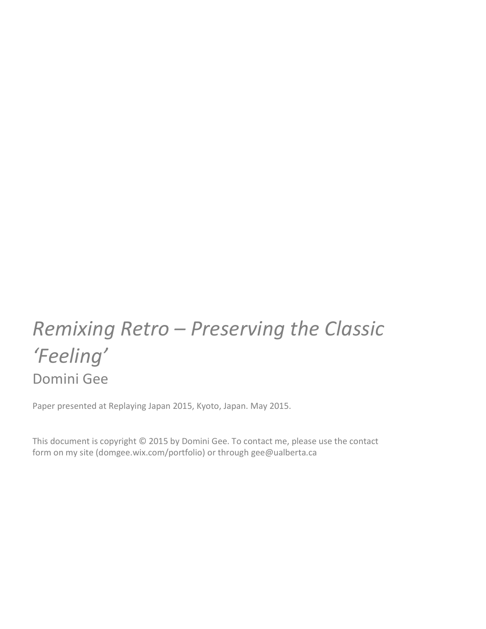# **Remixing Retro** – Preserving the Classic *'Feeling'* Domini Gee

Paper presented at Replaying Japan 2015, Kyoto, Japan. May 2015.

This document is copyright  $\odot$  2015 by Domini Gee. To contact me, please use the contact form on my site (domgee.wix.com/portfolio) or through gee@ualberta.ca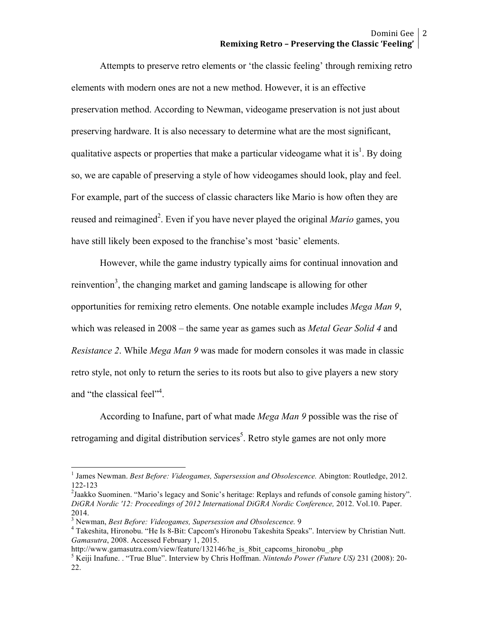Attempts to preserve retro elements or 'the classic feeling' through remixing retro elements with modern ones are not a new method. However, it is an effective preservation method. According to Newman, videogame preservation is not just about preserving hardware. It is also necessary to determine what are the most significant, qualitative aspects or properties that make a particular videogame what it is<sup>1</sup>. By doing so, we are capable of preserving a style of how videogames should look, play and feel. For example, part of the success of classic characters like Mario is how often they are reused and reimagined<sup>2</sup>. Even if you have never played the original *Mario* games, you have still likely been exposed to the franchise's most 'basic' elements.

However, while the game industry typically aims for continual innovation and reinvention<sup>3</sup>, the changing market and gaming landscape is allowing for other opportunities for remixing retro elements. One notable example includes *Mega Man 9*, which was released in 2008 – the same year as games such as *Metal Gear Solid 4* and *Resistance 2*. While *Mega Man 9* was made for modern consoles it was made in classic retro style, not only to return the series to its roots but also to give players a new story and "the classical feel"<sup>4</sup>.

According to Inafune, part of what made *Mega Man 9* possible was the rise of retrogaming and digital distribution services<sup>5</sup>. Retro style games are not only more

 <sup>1</sup> James Newman. *Best Before: Videogames, Supersession and Obsolescence.* Abington: Routledge, 2012. 122-123 <sup>2</sup>

<sup>&</sup>lt;sup>2</sup> Jaakko Suominen. "Mario's legacy and Sonic's heritage: Replays and refunds of console gaming history". *DiGRA Nordic '12: Proceedings of 2012 International DiGRA Nordic Conference,* 2012. Vol.10. Paper. 2014.<br><sup>3</sup> Newman, *Best Before: Videogames, Supersession and Obsolescence.* 9

<sup>&</sup>lt;sup>4</sup> Takeshita, Hironobu. "He Is 8-Bit: Capcom's Hironobu Takeshita Speaks". Interview by Christian Nutt. *Gamasutra*, 2008. Accessed February 1, 2015.

http://www.gamasutra.com/view/feature/132146/he\_is\_8bit\_capcoms\_hironobu\_.php<br><sup>5</sup> Keiji Inafune. . "True Blue". Interview by Chris Hoffman. *Nintendo Power (Future US)* 231 (2008): 20-22.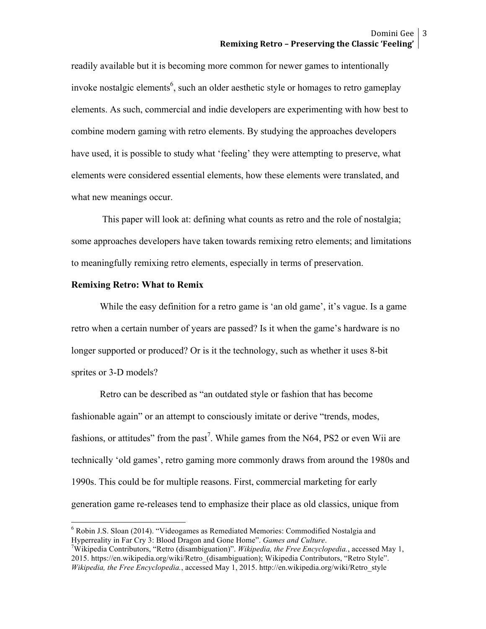readily available but it is becoming more common for newer games to intentionally invoke nostalgic elements<sup>6</sup>, such an older aesthetic style or homages to retro gameplay elements. As such, commercial and indie developers are experimenting with how best to combine modern gaming with retro elements. By studying the approaches developers have used, it is possible to study what 'feeling' they were attempting to preserve, what elements were considered essential elements, how these elements were translated, and what new meanings occur.

This paper will look at: defining what counts as retro and the role of nostalgia; some approaches developers have taken towards remixing retro elements; and limitations to meaningfully remixing retro elements, especially in terms of preservation.

## **Remixing Retro: What to Remix**

While the easy definition for a retro game is 'an old game', it's vague. Is a game retro when a certain number of years are passed? Is it when the game's hardware is no longer supported or produced? Or is it the technology, such as whether it uses 8-bit sprites or 3-D models?

Retro can be described as "an outdated style or fashion that has become fashionable again" or an attempt to consciously imitate or derive "trends, modes, fashions, or attitudes" from the past<sup>7</sup>. While games from the N64, PS2 or even Wii are technically 'old games', retro gaming more commonly draws from around the 1980s and 1990s. This could be for multiple reasons. First, commercial marketing for early generation game re-releases tend to emphasize their place as old classics, unique from

 <sup>6</sup> Robin J.S. Sloan (2014). "Videogames as Remediated Memories: Commodified Nostalgia and Hyperreality in Far Cry 3: Blood Dragon and Gone Home". *Games and Culture*. 7

Wikipedia Contributors, "Retro (disambiguation)". *Wikipedia, the Free Encyclopedia.*, accessed May 1, 2015. https://en.wikipedia.org/wiki/Retro\_(disambiguation); Wikipedia Contributors, "Retro Style". *Wikipedia, the Free Encyclopedia.*, accessed May 1, 2015. http://en.wikipedia.org/wiki/Retro\_style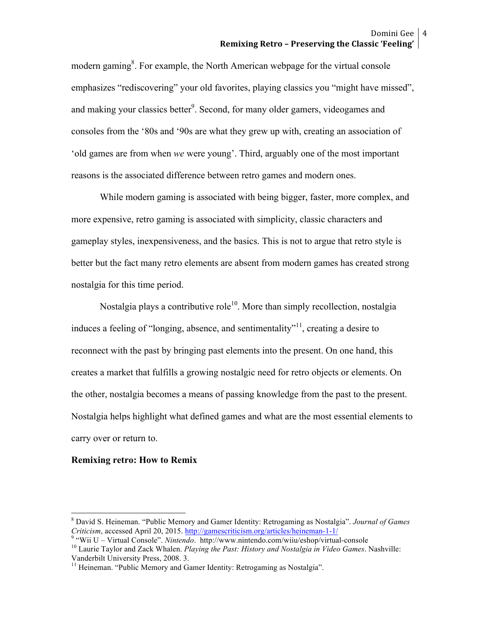modern gaming<sup>8</sup>. For example, the North American webpage for the virtual console emphasizes "rediscovering" your old favorites, playing classics you "might have missed", and making your classics better<sup>9</sup>. Second, for many older gamers, videogames and consoles from the '80s and '90s are what they grew up with, creating an association of 'old games are from when *we* were young'. Third, arguably one of the most important reasons is the associated difference between retro games and modern ones.

While modern gaming is associated with being bigger, faster, more complex, and more expensive, retro gaming is associated with simplicity, classic characters and gameplay styles, inexpensiveness, and the basics. This is not to argue that retro style is better but the fact many retro elements are absent from modern games has created strong nostalgia for this time period.

Nostalgia plays a contributive role<sup>10</sup>. More than simply recollection, nostalgia induces a feeling of "longing, absence, and sentimentality"<sup>11</sup>, creating a desire to reconnect with the past by bringing past elements into the present. On one hand, this creates a market that fulfills a growing nostalgic need for retro objects or elements. On the other, nostalgia becomes a means of passing knowledge from the past to the present. Nostalgia helps highlight what defined games and what are the most essential elements to carry over or return to.

# **Remixing retro: How to Remix**

 <sup>8</sup> David S. Heineman. "Public Memory and Gamer Identity: Retrogaming as Nostalgia". *Journal of Games Criticism*, accessed April 20, 2015. http://gamescriticism.org/articles/heineman-1-1/<br><sup>9</sup> "Wii U – Virtual Console". *Nintendo.* http://www.nintendo.com/wiiu/eshop/virtual-console<br><sup>10</sup> Laurie Taylor and Zack Whalen. *Pla* 

Vanderbilt University Press, 2008. 3.

<sup>&</sup>lt;sup>11</sup> Heineman. "Public Memory and Gamer Identity: Retrogaming as Nostalgia".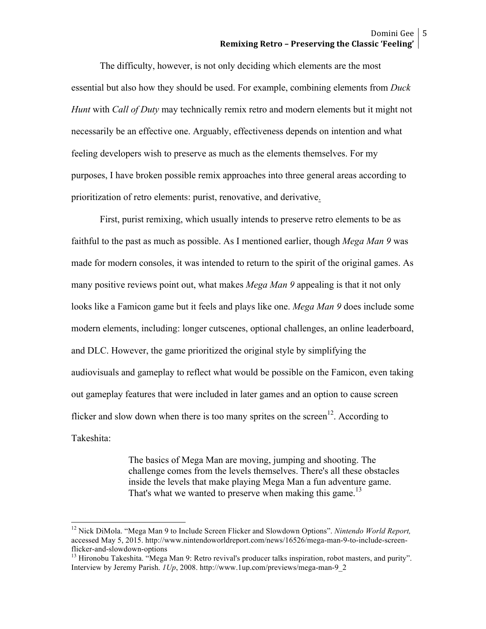The difficulty, however, is not only deciding which elements are the most essential but also how they should be used. For example, combining elements from *Duck Hunt* with *Call of Duty* may technically remix retro and modern elements but it might not necessarily be an effective one. Arguably, effectiveness depends on intention and what feeling developers wish to preserve as much as the elements themselves. For my purposes, I have broken possible remix approaches into three general areas according to prioritization of retro elements: purist, renovative, and derivative.

First, purist remixing, which usually intends to preserve retro elements to be as faithful to the past as much as possible. As I mentioned earlier, though *Mega Man 9* was made for modern consoles, it was intended to return to the spirit of the original games. As many positive reviews point out, what makes *Mega Man 9* appealing is that it not only looks like a Famicon game but it feels and plays like one. *Mega Man 9* does include some modern elements, including: longer cutscenes, optional challenges, an online leaderboard, and DLC. However, the game prioritized the original style by simplifying the audiovisuals and gameplay to reflect what would be possible on the Famicon, even taking out gameplay features that were included in later games and an option to cause screen flicker and slow down when there is too many sprites on the screen<sup>12</sup>. According to Takeshita:

> The basics of Mega Man are moving, jumping and shooting. The challenge comes from the levels themselves. There's all these obstacles inside the levels that make playing Mega Man a fun adventure game. That's what we wanted to preserve when making this game.<sup>13</sup>

 <sup>12</sup> Nick DiMola. "Mega Man 9 to Include Screen Flicker and Slowdown Options". *Nintendo World Report,*  accessed May 5, 2015. http://www.nintendoworldreport.com/news/16526/mega-man-9-to-include-screenflicker-and-slowdown-options<br><sup>13</sup> Hironobu Takeshita. "Mega Man 9: Retro revival's producer talks inspiration, robot masters, and purity".

Interview by Jeremy Parish. *1Up*, 2008. http://www.1up.com/previews/mega-man-9\_2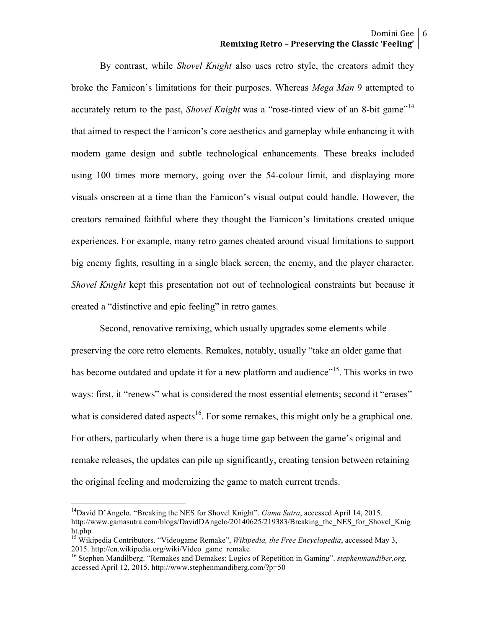# Domini Gee | 6 **Remixing Retro – Preserving the Classic 'Feeling'**

By contrast, while *Shovel Knight* also uses retro style, the creators admit they broke the Famicon's limitations for their purposes. Whereas *Mega Man* 9 attempted to accurately return to the past, *Shovel Knight* was a "rose-tinted view of an 8-bit game"<sup>14</sup> that aimed to respect the Famicon's core aesthetics and gameplay while enhancing it with modern game design and subtle technological enhancements. These breaks included using 100 times more memory, going over the 54-colour limit, and displaying more visuals onscreen at a time than the Famicon's visual output could handle. However, the creators remained faithful where they thought the Famicon's limitations created unique experiences. For example, many retro games cheated around visual limitations to support big enemy fights, resulting in a single black screen, the enemy, and the player character. *Shovel Knight* kept this presentation not out of technological constraints but because it created a "distinctive and epic feeling" in retro games.

Second, renovative remixing, which usually upgrades some elements while preserving the core retro elements. Remakes, notably, usually "take an older game that has become outdated and update it for a new platform and audience<sup>"15</sup>. This works in two ways: first, it "renews" what is considered the most essential elements; second it "erases" what is considered dated aspects<sup>16</sup>. For some remakes, this might only be a graphical one. For others, particularly when there is a huge time gap between the game's original and remake releases, the updates can pile up significantly, creating tension between retaining the original feeling and modernizing the game to match current trends.

<sup>&</sup>lt;sup>14</sup>David D'Angelo. "Breaking the NES for Shovel Knight". *Gama Sutra*, accessed April 14, 2015. http://www.gamasutra.com/blogs/DavidDAngelo/20140625/219383/Breaking the NES for Shovel Knig ht.php

<sup>&</sup>lt;sup>15</sup> Wikipedia Contributors. "Videogame Remake", *Wikipedia, the Free Encyclopedia*, accessed May 3, 2015. http://en.wikipedia.org/wiki/Video game remake

<sup>&</sup>lt;sup>16</sup> Stephen Mandilberg. "Remakes and Demakes: Logics of Repetition in Gaming". *stephenmandiber.org*, accessed April 12, 2015. http://www.stephenmandiberg.com/?p=50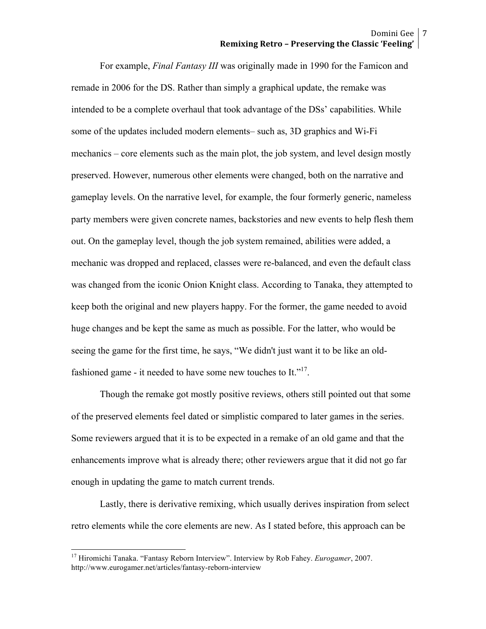For example, *Final Fantasy III* was originally made in 1990 for the Famicon and remade in 2006 for the DS. Rather than simply a graphical update, the remake was intended to be a complete overhaul that took advantage of the DSs' capabilities. While some of the updates included modern elements– such as, 3D graphics and Wi-Fi mechanics – core elements such as the main plot, the job system, and level design mostly preserved. However, numerous other elements were changed, both on the narrative and gameplay levels. On the narrative level, for example, the four formerly generic, nameless party members were given concrete names, backstories and new events to help flesh them out. On the gameplay level, though the job system remained, abilities were added, a mechanic was dropped and replaced, classes were re-balanced, and even the default class was changed from the iconic Onion Knight class. According to Tanaka, they attempted to keep both the original and new players happy. For the former, the game needed to avoid huge changes and be kept the same as much as possible. For the latter, who would be seeing the game for the first time, he says, "We didn't just want it to be like an oldfashioned game - it needed to have some new touches to It."<sup>17</sup>.

Though the remake got mostly positive reviews, others still pointed out that some of the preserved elements feel dated or simplistic compared to later games in the series. Some reviewers argued that it is to be expected in a remake of an old game and that the enhancements improve what is already there; other reviewers argue that it did not go far enough in updating the game to match current trends.

Lastly, there is derivative remixing, which usually derives inspiration from select retro elements while the core elements are new. As I stated before, this approach can be

 <sup>17</sup> Hiromichi Tanaka. "Fantasy Reborn Interview". Interview by Rob Fahey. *Eurogamer*, 2007. http://www.eurogamer.net/articles/fantasy-reborn-interview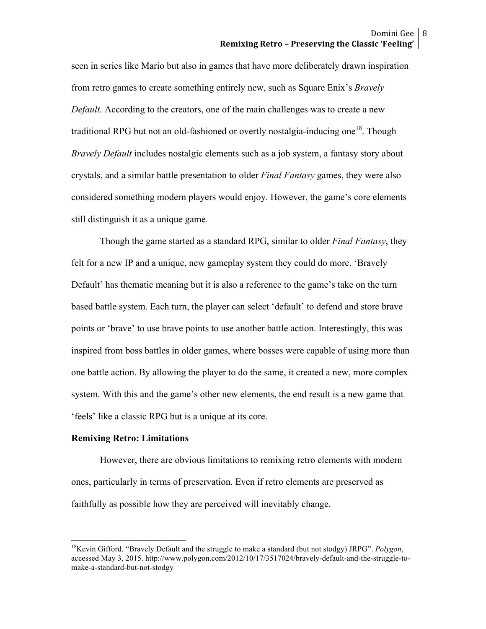seen in series like Mario but also in games that have more deliberately drawn inspiration from retro games to create something entirely new, such as Square Enix's *Bravely Default.* According to the creators, one of the main challenges was to create a new traditional RPG but not an old-fashioned or overtly nostalgia-inducing one<sup>18</sup>. Though *Bravely Default* includes nostalgic elements such as a job system, a fantasy story about crystals, and a similar battle presentation to older *Final Fantasy* games, they were also considered something modern players would enjoy. However, the game's core elements still distinguish it as a unique game.

Though the game started as a standard RPG, similar to older *Final Fantasy*, they felt for a new IP and a unique, new gameplay system they could do more. 'Bravely Default' has thematic meaning but it is also a reference to the game's take on the turn based battle system. Each turn, the player can select 'default' to defend and store brave points or 'brave' to use brave points to use another battle action. Interestingly, this was inspired from boss battles in older games, where bosses were capable of using more than one battle action. By allowing the player to do the same, it created a new, more complex system. With this and the game's other new elements, the end result is a new game that 'feels' like a classic RPG but is a unique at its core.

# **Remixing Retro: Limitations**

However, there are obvious limitations to remixing retro elements with modern ones, particularly in terms of preservation. Even if retro elements are preserved as faithfully as possible how they are perceived will inevitably change.

 18Kevin Gifford. "Bravely Default and the struggle to make a standard (but not stodgy) JRPG". *Polygon*, accessed May 3, 2015. http://www.polygon.com/2012/10/17/3517024/bravely-default-and-the-struggle-tomake-a-standard-but-not-stodgy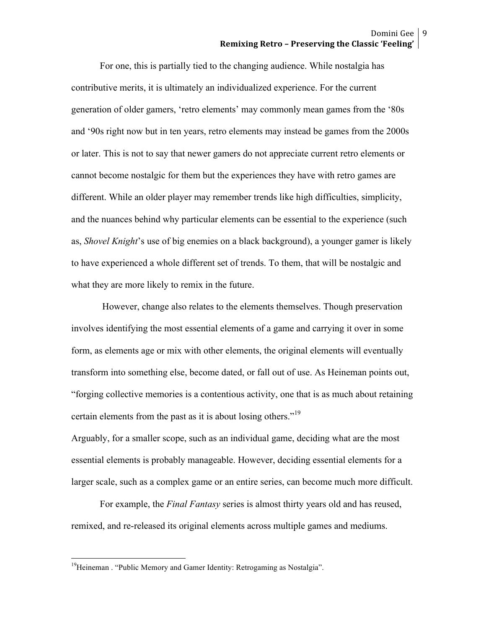For one, this is partially tied to the changing audience. While nostalgia has contributive merits, it is ultimately an individualized experience. For the current generation of older gamers, 'retro elements' may commonly mean games from the '80s and '90s right now but in ten years, retro elements may instead be games from the 2000s or later. This is not to say that newer gamers do not appreciate current retro elements or cannot become nostalgic for them but the experiences they have with retro games are different. While an older player may remember trends like high difficulties, simplicity, and the nuances behind why particular elements can be essential to the experience (such as, *Shovel Knight*'s use of big enemies on a black background), a younger gamer is likely to have experienced a whole different set of trends. To them, that will be nostalgic and what they are more likely to remix in the future.

However, change also relates to the elements themselves. Though preservation involves identifying the most essential elements of a game and carrying it over in some form, as elements age or mix with other elements, the original elements will eventually transform into something else, become dated, or fall out of use. As Heineman points out, "forging collective memories is a contentious activity, one that is as much about retaining certain elements from the past as it is about losing others."<sup>19</sup>

Arguably, for a smaller scope, such as an individual game, deciding what are the most essential elements is probably manageable. However, deciding essential elements for a larger scale, such as a complex game or an entire series, can become much more difficult.

For example, the *Final Fantasy* series is almost thirty years old and has reused, remixed, and re-released its original elements across multiple games and mediums.

<sup>&</sup>lt;sup>19</sup>Heineman . "Public Memory and Gamer Identity: Retrogaming as Nostalgia".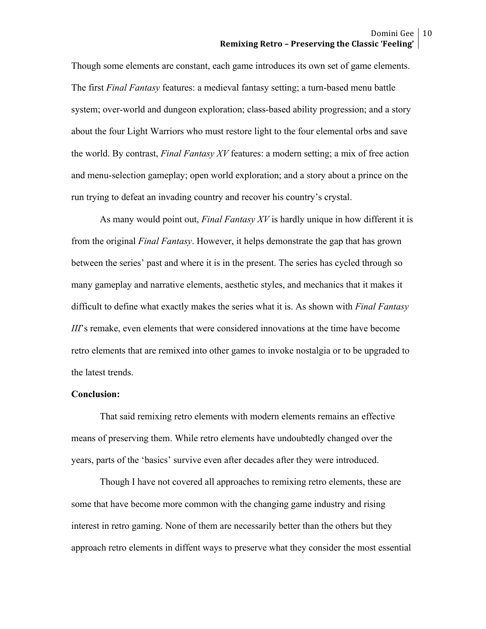Though some elements are constant, each game introduces its own set of game elements. The first *Final Fantasy* features: a medieval fantasy setting; a turn-based menu battle system; over-world and dungeon exploration; class-based ability progression; and a story about the four Light Warriors who must restore light to the four elemental orbs and save the world. By contrast, *Final Fantasy XV* features: a modern setting; a mix of free action and menu-selection gameplay; open world exploration; and a story about a prince on the run trying to defeat an invading country and recover his country's crystal.

As many would point out, *Final Fantasy XV* is hardly unique in how different it is from the original *Final Fantasy*. However, it helps demonstrate the gap that has grown between the series' past and where it is in the present. The series has cycled through so many gameplay and narrative elements, aesthetic styles, and mechanics that it makes it difficult to define what exactly makes the series what it is. As shown with *Final Fantasy III*'s remake, even elements that were considered innovations at the time have become retro elements that are remixed into other games to invoke nostalgia or to be upgraded to the latest trends.

#### **Conclusion:**

That said remixing retro elements with modern elements remains an effective means of preserving them. While retro elements have undoubtedly changed over the years, parts of the 'basics' survive even after decades after they were introduced.

Though I have not covered all approaches to remixing retro elements, these are some that have become more common with the changing game industry and rising interest in retro gaming. None of them are necessarily better than the others but they approach retro elements in diffent ways to preserve what they consider the most essential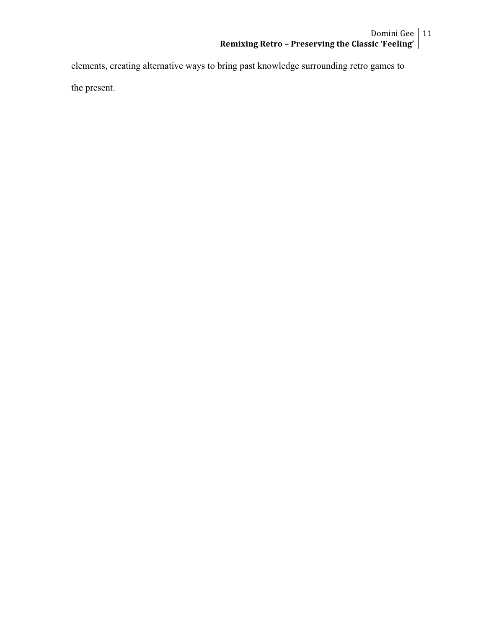elements, creating alternative ways to bring past knowledge surrounding retro games to the present.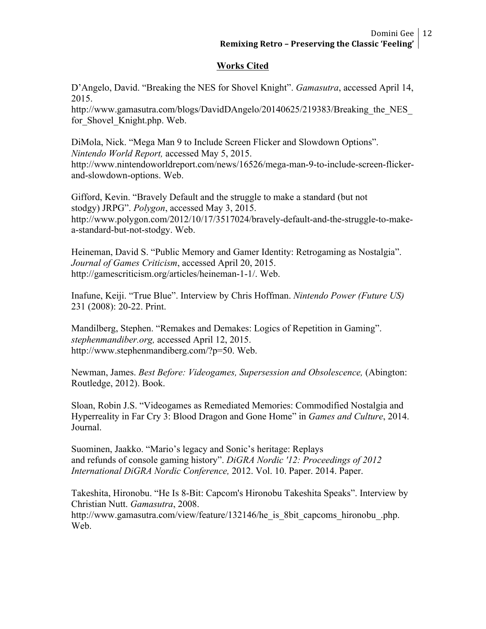# **Works Cited**

D'Angelo, David. "Breaking the NES for Shovel Knight". *Gamasutra*, accessed April 14, 2015.

http://www.gamasutra.com/blogs/DavidDAngelo/20140625/219383/Breaking the NES for Shovel Knight.php. Web.

DiMola, Nick. "Mega Man 9 to Include Screen Flicker and Slowdown Options". *Nintendo World Report,* accessed May 5, 2015. http://www.nintendoworldreport.com/news/16526/mega-man-9-to-include-screen-flickerand-slowdown-options. Web.

Gifford, Kevin. "Bravely Default and the struggle to make a standard (but not stodgy) JRPG". *Polygon*, accessed May 3, 2015. http://www.polygon.com/2012/10/17/3517024/bravely-default-and-the-struggle-to-makea-standard-but-not-stodgy. Web.

Heineman, David S. "Public Memory and Gamer Identity: Retrogaming as Nostalgia". *Journal of Games Criticism*, accessed April 20, 2015. http://gamescriticism.org/articles/heineman-1-1/. Web.

Inafune, Keiji. "True Blue". Interview by Chris Hoffman. *Nintendo Power (Future US)*  231 (2008): 20-22. Print.

Mandilberg, Stephen. "Remakes and Demakes: Logics of Repetition in Gaming". *stephenmandiber.org,* accessed April 12, 2015. http://www.stephenmandiberg.com/?p=50. Web.

Newman, James. *Best Before: Videogames, Supersession and Obsolescence,* (Abington: Routledge, 2012). Book.

Sloan, Robin J.S. "Videogames as Remediated Memories: Commodified Nostalgia and Hyperreality in Far Cry 3: Blood Dragon and Gone Home" in *Games and Culture*, 2014. Journal.

Suominen, Jaakko. "Mario's legacy and Sonic's heritage: Replays and refunds of console gaming history". *DiGRA Nordic '12: Proceedings of 2012 International DiGRA Nordic Conference,* 2012. Vol. 10. Paper. 2014. Paper.

Takeshita, Hironobu. "He Is 8-Bit: Capcom's Hironobu Takeshita Speaks". Interview by Christian Nutt. *Gamasutra*, 2008.

http://www.gamasutra.com/view/feature/132146/he\_is\_8bit\_capcoms\_hironobu\_.php. Web.